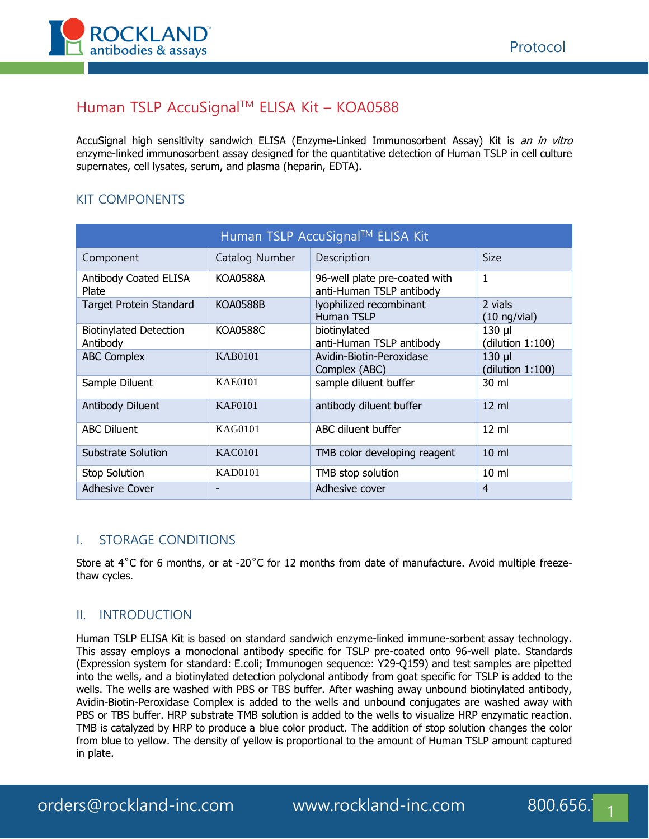

# Human TSLP AccuSignalTM ELISA Kit – KOA0588

AccuSignal high sensitivity sandwich ELISA (Enzyme-Linked Immunosorbent Assay) Kit is an in vitro enzyme-linked immunosorbent assay designed for the quantitative detection of Human TSLP in cell culture supernates, cell lysates, serum, and plasma (heparin, EDTA).

### KIT COMPONENTS

| Human TSLP AccuSignal™ ELISA Kit          |                 |                                                           |                                 |  |  |
|-------------------------------------------|-----------------|-----------------------------------------------------------|---------------------------------|--|--|
| Component                                 | Catalog Number  | Description                                               | <b>Size</b>                     |  |  |
| <b>Antibody Coated ELISA</b><br>Plate     | <b>KOA0588A</b> | 96-well plate pre-coated with<br>anti-Human TSLP antibody | 1                               |  |  |
| <b>Target Protein Standard</b>            | <b>KOA0588B</b> | lyophilized recombinant<br>Human TSLP                     | 2 vials<br>$(10 \nmid y$ /vial) |  |  |
| <b>Biotinylated Detection</b><br>Antibody | <b>KOA0588C</b> | biotinylated<br>anti-Human TSLP antibody                  | $130$ µl<br>(dilution 1:100)    |  |  |
| <b>ABC Complex</b>                        | <b>KAB0101</b>  | Avidin-Biotin-Peroxidase<br>Complex (ABC)                 | $130$ µ<br>(dilution 1:100)     |  |  |
| Sample Diluent                            | <b>KAE0101</b>  | sample diluent buffer                                     | 30 ml                           |  |  |
| Antibody Diluent                          | <b>KAF0101</b>  | antibody diluent buffer                                   | $12 \text{ ml}$                 |  |  |
| <b>ABC Diluent</b>                        | KAG0101         | ABC diluent buffer                                        | $12 \text{ ml}$                 |  |  |
| Substrate Solution                        | <b>KAC0101</b>  | TMB color developing reagent                              | $10 \mathrm{m}$                 |  |  |
| <b>Stop Solution</b>                      | <b>KAD0101</b>  | TMB stop solution                                         | $10 \text{ ml}$                 |  |  |
| Adhesive Cover                            |                 | Adhesive cover                                            | 4                               |  |  |

#### I. STORAGE CONDITIONS

Store at 4<sup>°</sup>C for 6 months, or at -20<sup>°</sup>C for 12 months from date of manufacture. Avoid multiple freezethaw cycles.

#### II. INTRODUCTION

Human TSLP ELISA Kit is based on standard sandwich enzyme-linked immune-sorbent assay technology. This assay employs a monoclonal antibody specific for TSLP pre-coated onto 96-well plate. Standards (Expression system for standard: E.coli; Immunogen sequence: Y29-Q159) and test samples are pipetted into the wells, and a biotinylated detection polyclonal antibody from goat specific for TSLP is added to the wells. The wells are washed with PBS or TBS buffer. After washing away unbound biotinylated antibody, Avidin-Biotin-Peroxidase Complex is added to the wells and unbound conjugates are washed away with PBS or TBS buffer. HRP substrate TMB solution is added to the wells to visualize HRP enzymatic reaction. TMB is catalyzed by HRP to produce a blue color product. The addition of stop solution changes the color from blue to yellow. The density of yellow is proportional to the amount of Human TSLP amount captured in plate.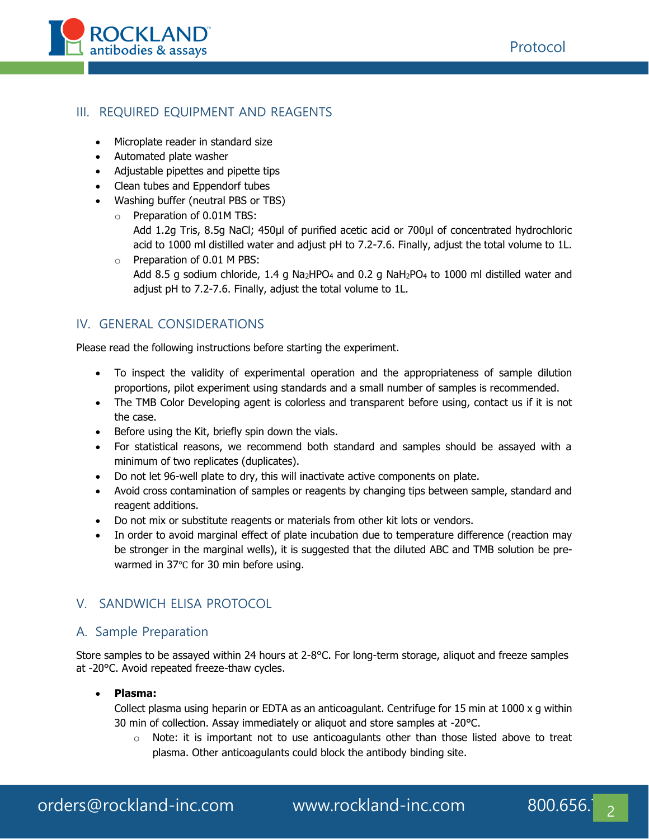

### III. REQUIRED EQUIPMENT AND REAGENTS

- Microplate reader in standard size
- Automated plate washer
- Adjustable pipettes and pipette tips
- Clean tubes and Eppendorf tubes
- Washing buffer (neutral PBS or TBS)
	- o Preparation of 0.01M TBS:

Add 1.2g Tris, 8.5g NaCl; 450μl of purified acetic acid or 700μl of concentrated hydrochloric acid to 1000 ml distilled water and adjust pH to 7.2-7.6. Finally, adjust the total volume to 1L. o Preparation of 0.01 M PBS:

Add 8.5 g sodium chloride, 1.4 g Na<sub>2</sub>HPO<sub>4</sub> and 0.2 g NaH<sub>2</sub>PO<sub>4</sub> to 1000 ml distilled water and adjust pH to 7.2-7.6. Finally, adjust the total volume to 1L.

## IV. GENERAL CONSIDERATIONS

Please read the following instructions before starting the experiment.

- To inspect the validity of experimental operation and the appropriateness of sample dilution proportions, pilot experiment using standards and a small number of samples is recommended.
- The TMB Color Developing agent is colorless and transparent before using, contact us if it is not the case.
- Before using the Kit, briefly spin down the vials.
- For statistical reasons, we recommend both standard and samples should be assayed with a minimum of two replicates (duplicates).
- Do not let 96-well plate to dry, this will inactivate active components on plate.
- Avoid cross contamination of samples or reagents by changing tips between sample, standard and reagent additions.
- Do not mix or substitute reagents or materials from other kit lots or vendors.
- In order to avoid marginal effect of plate incubation due to temperature difference (reaction may be stronger in the marginal wells), it is suggested that the diluted ABC and TMB solution be prewarmed in 37℃ for 30 min before using.

# V. SANDWICH ELISA PROTOCOL

# A. Sample Preparation

Store samples to be assayed within 24 hours at 2-8°C. For long-term storage, aliquot and freeze samples at -20°C. Avoid repeated freeze-thaw cycles.

#### • **Plasma:**

Collect plasma using heparin or EDTA as an anticoagulant. Centrifuge for 15 min at 1000 x g within 30 min of collection. Assay immediately or aliquot and store samples at -20°C.

 $\circ$  Note: it is important not to use anticoagulants other than those listed above to treat plasma. Other anticoagulants could block the antibody binding site.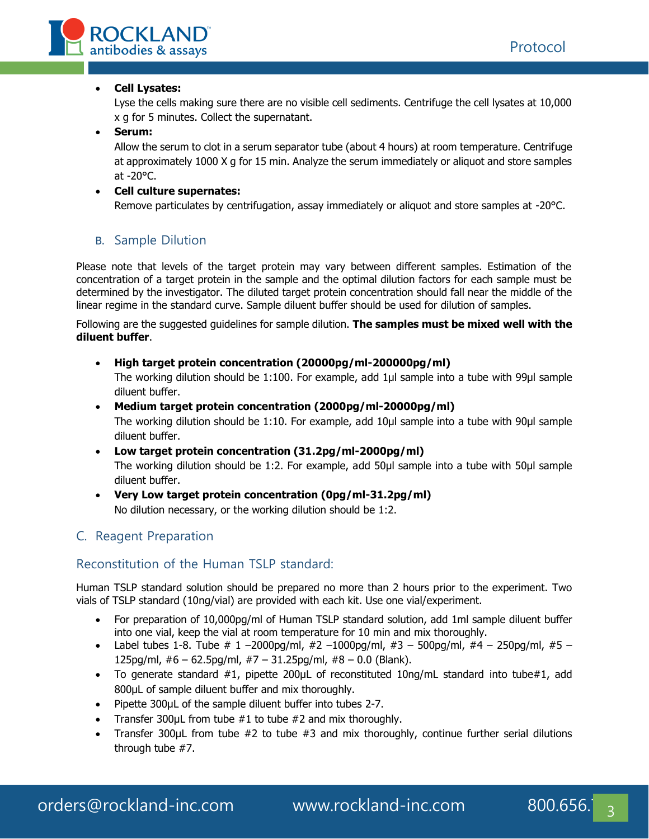

#### • **Cell Lysates:**

Lyse the cells making sure there are no visible cell sediments. Centrifuge the cell lysates at 10,000 x g for 5 minutes. Collect the supernatant.

#### • **Serum:**

Allow the serum to clot in a serum separator tube (about 4 hours) at room temperature. Centrifuge at approximately 1000 X g for 15 min. Analyze the serum immediately or aliquot and store samples at -20°C.

#### • **Cell culture supernates:**

Remove particulates by centrifugation, assay immediately or aliquot and store samples at -20°C.

### B. Sample Dilution

Please note that levels of the target protein may vary between different samples. Estimation of the concentration of a target protein in the sample and the optimal dilution factors for each sample must be determined by the investigator. The diluted target protein concentration should fall near the middle of the linear regime in the standard curve. Sample diluent buffer should be used for dilution of samples.

Following are the suggested guidelines for sample dilution. **The samples must be mixed well with the diluent buffer**.

• **High target protein concentration (20000pg/ml-200000pg/ml)**

The working dilution should be 1:100. For example, add 1μl sample into a tube with 99μl sample diluent buffer.

• **Medium target protein concentration (2000pg/ml-20000pg/ml)**

The working dilution should be 1:10. For example, add 10μl sample into a tube with 90μl sample diluent buffer.

- **Low target protein concentration (31.2pg/ml-2000pg/ml)** The working dilution should be 1:2. For example, add 50μl sample into a tube with 50μl sample diluent buffer.
- **Very Low target protein concentration (0pg/ml-31.2pg/ml)** No dilution necessary, or the working dilution should be 1:2.

### C. Reagent Preparation

### Reconstitution of the Human TSLP standard:

Human TSLP standard solution should be prepared no more than 2 hours prior to the experiment. Two vials of TSLP standard (10ng/vial) are provided with each kit. Use one vial/experiment.

- For preparation of 10,000pg/ml of Human TSLP standard solution, add 1ml sample diluent buffer into one vial, keep the vial at room temperature for 10 min and mix thoroughly.
- Label tubes 1-8. Tube  $\#$  1 –2000pg/ml,  $\#2$  –1000pg/ml,  $\#3$  500pg/ml,  $\#4$  250pg/ml,  $\#5$  125pg/ml,  $#6 - 62.5$ pg/ml,  $#7 - 31.25$ pg/ml,  $#8 - 0.0$  (Blank).
- To generate standard #1, pipette 200µL of reconstituted 10ng/mL standard into tube#1, add 800µL of sample diluent buffer and mix thoroughly.
- Pipette 300µL of the sample diluent buffer into tubes 2-7.
- Transfer 300 $\mu$ L from tube #1 to tube #2 and mix thoroughly.
- Transfer 300μL from tube #2 to tube #3 and mix thoroughly, continue further serial dilutions through tube #7.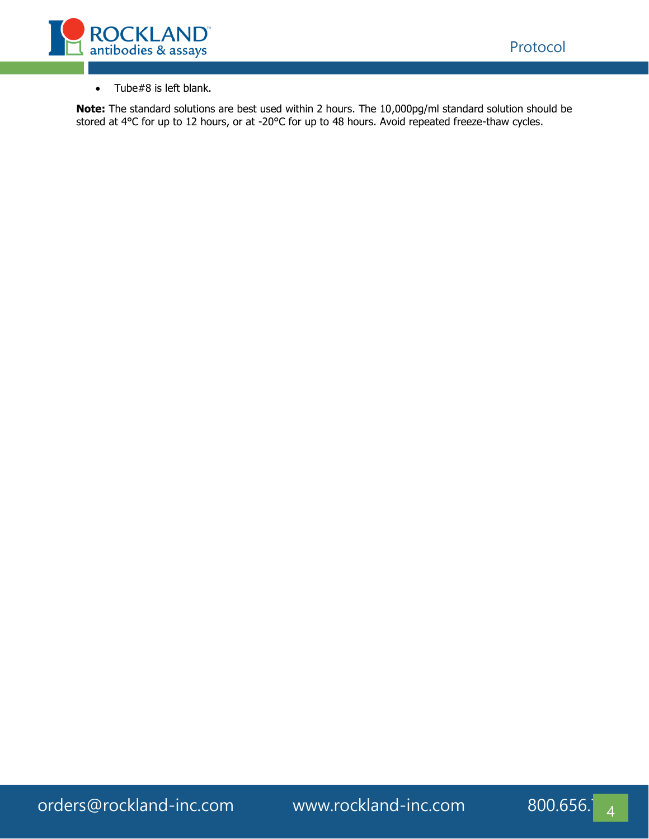

• Tube#8 is left blank.

**Note:** The standard solutions are best used within 2 hours. The 10,000pg/ml standard solution should be stored at 4°C for up to 12 hours, or at -20°C for up to 48 hours. Avoid repeated freeze-thaw cycles.

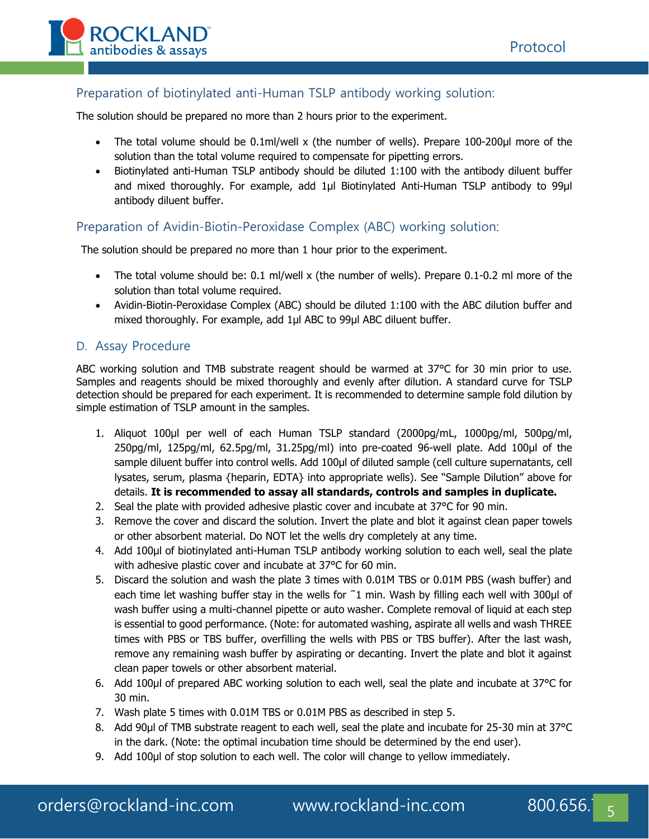

### Preparation of biotinylated anti-Human TSLP antibody working solution:

The solution should be prepared no more than 2 hours prior to the experiment.

- The total volume should be 0.1ml/well x (the number of wells). Prepare 100-200μl more of the solution than the total volume required to compensate for pipetting errors.
- Biotinylated anti-Human TSLP antibody should be diluted 1:100 with the antibody diluent buffer and mixed thoroughly. For example, add 1µl Biotinylated Anti-Human TSLP antibody to 99µl antibody diluent buffer.

### Preparation of Avidin-Biotin-Peroxidase Complex (ABC) working solution:

The solution should be prepared no more than 1 hour prior to the experiment.

- The total volume should be: 0.1 ml/well x (the number of wells). Prepare 0.1-0.2 ml more of the solution than total volume required.
- Avidin-Biotin-Peroxidase Complex (ABC) should be diluted 1:100 with the ABC dilution buffer and mixed thoroughly. For example, add 1μl ABC to 99μl ABC diluent buffer.

#### D. Assay Procedure

ABC working solution and TMB substrate reagent should be warmed at 37°C for 30 min prior to use. Samples and reagents should be mixed thoroughly and evenly after dilution. A standard curve for TSLP detection should be prepared for each experiment. It is recommended to determine sample fold dilution by simple estimation of TSLP amount in the samples.

- 1. Aliquot 100μl per well of each Human TSLP standard (2000pg/mL, 1000pg/ml, 500pg/ml, 250pg/ml, 125pg/ml, 62.5pg/ml, 31.25pg/ml) into pre-coated 96-well plate. Add 100μl of the sample diluent buffer into control wells. Add 100μl of diluted sample (cell culture supernatants, cell lysates, serum, plasma {heparin, EDTA} into appropriate wells). See "Sample Dilution" above for details. **It is recommended to assay all standards, controls and samples in duplicate.**
- 2. Seal the plate with provided adhesive plastic cover and incubate at 37°C for 90 min.
- 3. Remove the cover and discard the solution. Invert the plate and blot it against clean paper towels or other absorbent material. Do NOT let the wells dry completely at any time.
- 4. Add 100μl of biotinylated anti-Human TSLP antibody working solution to each well, seal the plate with adhesive plastic cover and incubate at 37°C for 60 min.
- 5. Discard the solution and wash the plate 3 times with 0.01M TBS or 0.01M PBS (wash buffer) and each time let washing buffer stay in the wells for  $\tilde{ }1$  min. Wash by filling each well with 300µl of wash buffer using a multi-channel pipette or auto washer. Complete removal of liquid at each step is essential to good performance. (Note: for automated washing, aspirate all wells and wash THREE times with PBS or TBS buffer, overfilling the wells with PBS or TBS buffer). After the last wash, remove any remaining wash buffer by aspirating or decanting. Invert the plate and blot it against clean paper towels or other absorbent material.
- 6. Add 100μl of prepared ABC working solution to each well, seal the plate and incubate at 37°C for 30 min.
- 7. Wash plate 5 times with 0.01M TBS or 0.01M PBS as described in step 5.
- 8. Add 90µl of TMB substrate reagent to each well, seal the plate and incubate for 25-30 min at 37°C in the dark. (Note: the optimal incubation time should be determined by the end user).
- 9. Add 100μl of stop solution to each well. The color will change to yellow immediately.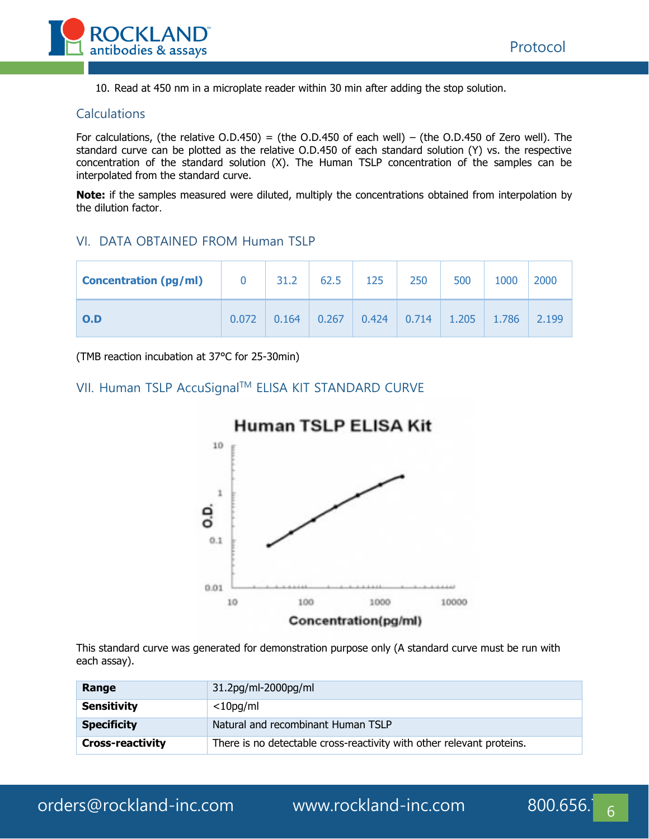

10. Read at 450 nm in a microplate reader within 30 min after adding the stop solution.

#### **Calculations**

For calculations, (the relative O.D.450) = (the O.D.450 of each well) – (the O.D.450 of Zero well). The standard curve can be plotted as the relative O.D.450 of each standard solution (Y) vs. the respective concentration of the standard solution (X). The Human TSLP concentration of the samples can be interpolated from the standard curve.

**Note:** if the samples measured were diluted, multiply the concentrations obtained from interpolation by the dilution factor.

#### VI. DATA OBTAINED FROM Human TSLP

| <b>Concentration (pg/ml)</b> |       | 31.2  | 62.5  | 125   | 250           | 500   | 1000  | 2000  |
|------------------------------|-------|-------|-------|-------|---------------|-------|-------|-------|
| O.D                          | 0.072 | 0.164 | 0.267 | 0.424 | $\vert$ 0.714 | 1.205 | 1.786 | 2.199 |

(TMB reaction incubation at 37°C for 25-30min)

### VII. Human TSLP AccuSignal™ ELISA KIT STANDARD CURVE



#### This standard curve was generated for demonstration purpose only (A standard curve must be run with each assay).

| Range                   | 31.2pg/ml-2000pg/ml                                                   |
|-------------------------|-----------------------------------------------------------------------|
| <b>Sensitivity</b>      | $<$ 10pg/ml                                                           |
| <b>Specificity</b>      | Natural and recombinant Human TSLP                                    |
| <b>Cross-reactivity</b> | There is no detectable cross-reactivity with other relevant proteins. |

# **Human TSLP ELISA Kit**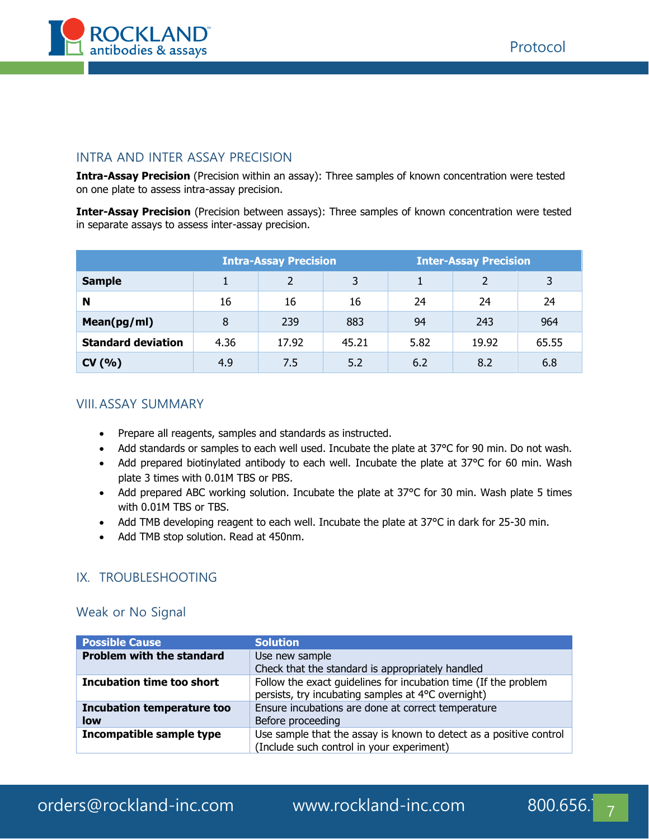

#### INTRA AND INTER ASSAY PRECISION

**Intra-Assay Precision** (Precision within an assay): Three samples of known concentration were tested on one plate to assess intra-assay precision.

**Inter-Assay Precision** (Precision between assays): Three samples of known concentration were tested in separate assays to assess inter-assay precision.

|                           | <b>Intra-Assay Precision</b> |       |              | <b>Inter-Assay Precision</b> |       |       |
|---------------------------|------------------------------|-------|--------------|------------------------------|-------|-------|
| <b>Sample</b>             |                              | າ     | $\mathbf{z}$ |                              | 2     | 3     |
| N                         | 16                           | 16    | 16           | 24                           | 24    | 24    |
| Mean(pg/ml)               | 8                            | 239   | 883          | 94                           | 243   | 964   |
| <b>Standard deviation</b> | 4.36                         | 17.92 | 45.21        | 5.82                         | 19.92 | 65.55 |
| CV(% )                    | 4.9                          | 7.5   | 5.2          | 6.2                          | 8.2   | 6.8   |

#### VIII.ASSAY SUMMARY

- Prepare all reagents, samples and standards as instructed.
- Add standards or samples to each well used. Incubate the plate at 37°C for 90 min. Do not wash.
- Add prepared biotinylated antibody to each well. Incubate the plate at 37°C for 60 min. Wash plate 3 times with 0.01M TBS or PBS.
- Add prepared ABC working solution. Incubate the plate at 37°C for 30 min. Wash plate 5 times with 0.01M TBS or TBS.
- Add TMB developing reagent to each well. Incubate the plate at 37°C in dark for 25-30 min.
- Add TMB stop solution. Read at 450nm.

#### IX. TROUBLESHOOTING

#### Weak or No Signal

| <b>Possible Cause</b>                    | <b>Solution</b>                                                                                                       |
|------------------------------------------|-----------------------------------------------------------------------------------------------------------------------|
| <b>Problem with the standard</b>         | Use new sample<br>Check that the standard is appropriately handled                                                    |
| Incubation time too short                | Follow the exact guidelines for incubation time (If the problem<br>persists, try incubating samples at 4°C overnight) |
| <b>Incubation temperature too</b><br>low | Ensure incubations are done at correct temperature<br>Before proceeding                                               |
| Incompatible sample type                 | Use sample that the assay is known to detect as a positive control<br>(Include such control in your experiment)       |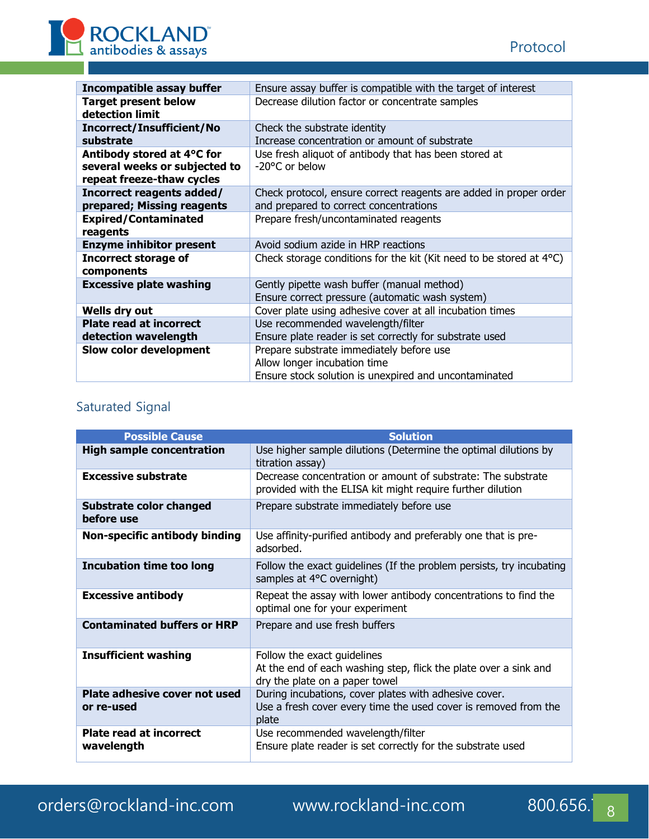

| <b>Incompatible assay buffer</b>                                                         | Ensure assay buffer is compatible with the target of interest                                                                     |
|------------------------------------------------------------------------------------------|-----------------------------------------------------------------------------------------------------------------------------------|
| <b>Target present below</b><br>detection limit                                           | Decrease dilution factor or concentrate samples                                                                                   |
| <b>Incorrect/Insufficient/No</b><br>substrate                                            | Check the substrate identity<br>Increase concentration or amount of substrate                                                     |
| Antibody stored at 4°C for<br>several weeks or subjected to<br>repeat freeze-thaw cycles | Use fresh aliquot of antibody that has been stored at<br>-20°C or below                                                           |
| Incorrect reagents added/<br>prepared; Missing reagents                                  | Check protocol, ensure correct reagents are added in proper order<br>and prepared to correct concentrations                       |
| <b>Expired/Contaminated</b><br>reagents                                                  | Prepare fresh/uncontaminated reagents                                                                                             |
| <b>Enzyme inhibitor present</b>                                                          | Avoid sodium azide in HRP reactions                                                                                               |
| <b>Incorrect storage of</b><br>components                                                | Check storage conditions for the kit (Kit need to be stored at $4^{\circ}$ C)                                                     |
| <b>Excessive plate washing</b>                                                           | Gently pipette wash buffer (manual method)<br>Ensure correct pressure (automatic wash system)                                     |
| Wells dry out                                                                            | Cover plate using adhesive cover at all incubation times                                                                          |
| <b>Plate read at incorrect</b><br>detection wavelength                                   | Use recommended wavelength/filter<br>Ensure plate reader is set correctly for substrate used                                      |
| Slow color development                                                                   | Prepare substrate immediately before use<br>Allow longer incubation time<br>Ensure stock solution is unexpired and uncontaminated |

# Saturated Signal

| <b>Possible Cause</b>                        | <b>Solution</b>                                                                                                                   |
|----------------------------------------------|-----------------------------------------------------------------------------------------------------------------------------------|
| <b>High sample concentration</b>             | Use higher sample dilutions (Determine the optimal dilutions by<br>titration assay)                                               |
| <b>Excessive substrate</b>                   | Decrease concentration or amount of substrate: The substrate<br>provided with the ELISA kit might require further dilution        |
| <b>Substrate color changed</b><br>before use | Prepare substrate immediately before use                                                                                          |
| Non-specific antibody binding                | Use affinity-purified antibody and preferably one that is pre-<br>adsorbed.                                                       |
| <b>Incubation time too long</b>              | Follow the exact guidelines (If the problem persists, try incubating<br>samples at 4°C overnight)                                 |
| <b>Excessive antibody</b>                    | Repeat the assay with lower antibody concentrations to find the<br>optimal one for your experiment                                |
| <b>Contaminated buffers or HRP</b>           | Prepare and use fresh buffers                                                                                                     |
| <b>Insufficient washing</b>                  | Follow the exact guidelines<br>At the end of each washing step, flick the plate over a sink and<br>dry the plate on a paper towel |
| Plate adhesive cover not used<br>or re-used  | During incubations, cover plates with adhesive cover.<br>Use a fresh cover every time the used cover is removed from the<br>plate |
| <b>Plate read at incorrect</b><br>wavelength | Use recommended wavelength/filter<br>Ensure plate reader is set correctly for the substrate used                                  |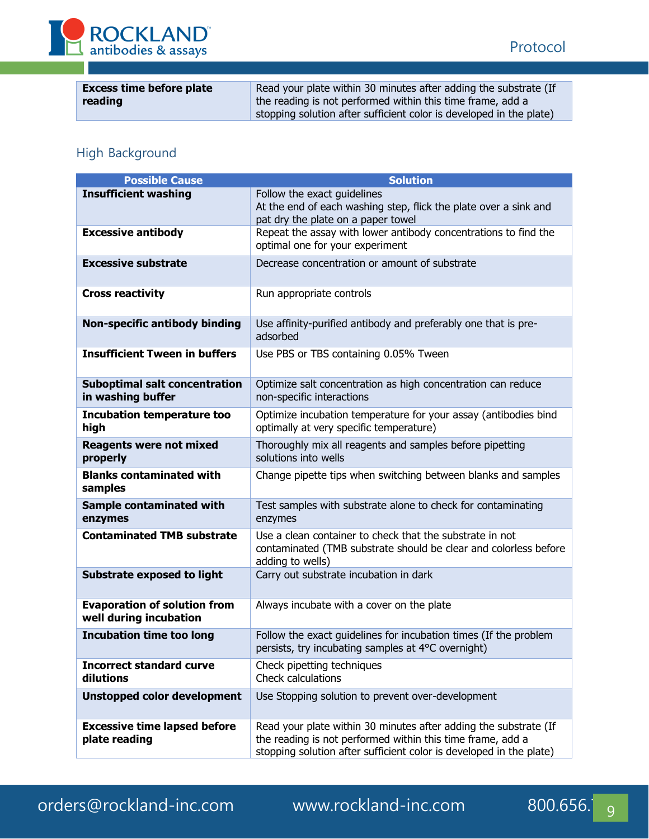

| <b>Excess time before plate</b> | Read your plate within 30 minutes after adding the substrate (If    |
|---------------------------------|---------------------------------------------------------------------|
| reading                         | the reading is not performed within this time frame, add a          |
|                                 | stopping solution after sufficient color is developed in the plate) |

# High Background

| <b>Possible Cause</b>                                         | <b>Solution</b>                                                                                                                                                                                       |
|---------------------------------------------------------------|-------------------------------------------------------------------------------------------------------------------------------------------------------------------------------------------------------|
| <b>Insufficient washing</b>                                   | Follow the exact guidelines<br>At the end of each washing step, flick the plate over a sink and<br>pat dry the plate on a paper towel                                                                 |
| <b>Excessive antibody</b>                                     | Repeat the assay with lower antibody concentrations to find the<br>optimal one for your experiment                                                                                                    |
| <b>Excessive substrate</b>                                    | Decrease concentration or amount of substrate                                                                                                                                                         |
| <b>Cross reactivity</b>                                       | Run appropriate controls                                                                                                                                                                              |
| <b>Non-specific antibody binding</b>                          | Use affinity-purified antibody and preferably one that is pre-<br>adsorbed                                                                                                                            |
| <b>Insufficient Tween in buffers</b>                          | Use PBS or TBS containing 0.05% Tween                                                                                                                                                                 |
| <b>Suboptimal salt concentration</b><br>in washing buffer     | Optimize salt concentration as high concentration can reduce<br>non-specific interactions                                                                                                             |
| <b>Incubation temperature too</b><br>high                     | Optimize incubation temperature for your assay (antibodies bind<br>optimally at very specific temperature)                                                                                            |
| <b>Reagents were not mixed</b><br>properly                    | Thoroughly mix all reagents and samples before pipetting<br>solutions into wells                                                                                                                      |
| <b>Blanks contaminated with</b><br>samples                    | Change pipette tips when switching between blanks and samples                                                                                                                                         |
| <b>Sample contaminated with</b><br>enzymes                    | Test samples with substrate alone to check for contaminating<br>enzymes                                                                                                                               |
| <b>Contaminated TMB substrate</b>                             | Use a clean container to check that the substrate in not<br>contaminated (TMB substrate should be clear and colorless before<br>adding to wells)                                                      |
| <b>Substrate exposed to light</b>                             | Carry out substrate incubation in dark                                                                                                                                                                |
| <b>Evaporation of solution from</b><br>well during incubation | Always incubate with a cover on the plate                                                                                                                                                             |
| <b>Incubation time too long</b>                               | Follow the exact guidelines for incubation times (If the problem<br>persists, try incubating samples at 4°C overnight)                                                                                |
| <b>Incorrect standard curve</b><br>dilutions                  | Check pipetting techniques<br>Check calculations                                                                                                                                                      |
| <b>Unstopped color development</b>                            | Use Stopping solution to prevent over-development                                                                                                                                                     |
| <b>Excessive time lapsed before</b><br>plate reading          | Read your plate within 30 minutes after adding the substrate (If<br>the reading is not performed within this time frame, add a<br>stopping solution after sufficient color is developed in the plate) |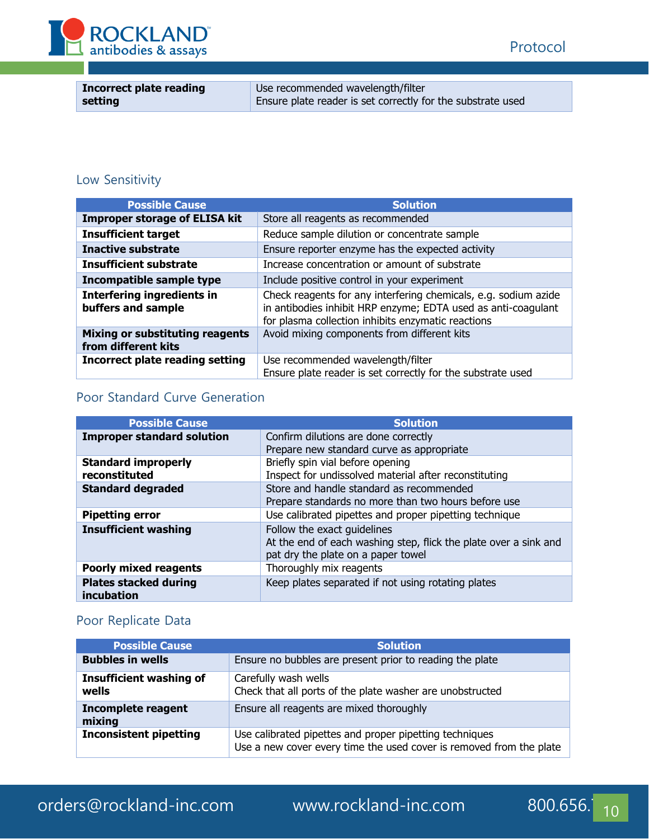



| <b>Incorrect plate reading</b> | Use recommended wavelength/filter                           |
|--------------------------------|-------------------------------------------------------------|
| setting                        | Ensure plate reader is set correctly for the substrate used |

# Low Sensitivity

| <b>Possible Cause</b>                                         | <b>Solution</b>                                                                                                                                                                        |
|---------------------------------------------------------------|----------------------------------------------------------------------------------------------------------------------------------------------------------------------------------------|
| <b>Improper storage of ELISA kit</b>                          | Store all reagents as recommended                                                                                                                                                      |
| <b>Insufficient target</b>                                    | Reduce sample dilution or concentrate sample                                                                                                                                           |
| Inactive substrate                                            | Ensure reporter enzyme has the expected activity                                                                                                                                       |
| <b>Insufficient substrate</b>                                 | Increase concentration or amount of substrate                                                                                                                                          |
| Incompatible sample type                                      | Include positive control in your experiment                                                                                                                                            |
| <b>Interfering ingredients in</b><br>buffers and sample       | Check reagents for any interfering chemicals, e.g. sodium azide<br>in antibodies inhibit HRP enzyme; EDTA used as anti-coagulant<br>for plasma collection inhibits enzymatic reactions |
| <b>Mixing or substituting reagents</b><br>from different kits | Avoid mixing components from different kits                                                                                                                                            |
| <b>Incorrect plate reading setting</b>                        | Use recommended wavelength/filter<br>Ensure plate reader is set correctly for the substrate used                                                                                       |

# Poor Standard Curve Generation

| <b>Possible Cause</b>                      | <b>Solution</b>                                                                                                                       |
|--------------------------------------------|---------------------------------------------------------------------------------------------------------------------------------------|
| <b>Improper standard solution</b>          | Confirm dilutions are done correctly                                                                                                  |
|                                            | Prepare new standard curve as appropriate                                                                                             |
| <b>Standard improperly</b>                 | Briefly spin vial before opening                                                                                                      |
| reconstituted                              | Inspect for undissolved material after reconstituting                                                                                 |
| <b>Standard degraded</b>                   | Store and handle standard as recommended                                                                                              |
|                                            | Prepare standards no more than two hours before use                                                                                   |
| <b>Pipetting error</b>                     | Use calibrated pipettes and proper pipetting technique                                                                                |
| <b>Insufficient washing</b>                | Follow the exact guidelines<br>At the end of each washing step, flick the plate over a sink and<br>pat dry the plate on a paper towel |
| <b>Poorly mixed reagents</b>               | Thoroughly mix reagents                                                                                                               |
| <b>Plates stacked during</b><br>incubation | Keep plates separated if not using rotating plates                                                                                    |

# Poor Replicate Data

| <b>Possible Cause</b>                   | <b>Solution</b>                                                                                                                |  |
|-----------------------------------------|--------------------------------------------------------------------------------------------------------------------------------|--|
| <b>Bubbles in wells</b>                 | Ensure no bubbles are present prior to reading the plate                                                                       |  |
| <b>Insufficient washing of</b><br>wells | Carefully wash wells<br>Check that all ports of the plate washer are unobstructed                                              |  |
| <b>Incomplete reagent</b><br>mixing     | Ensure all reagents are mixed thoroughly                                                                                       |  |
| <b>Inconsistent pipetting</b>           | Use calibrated pipettes and proper pipetting techniques<br>Use a new cover every time the used cover is removed from the plate |  |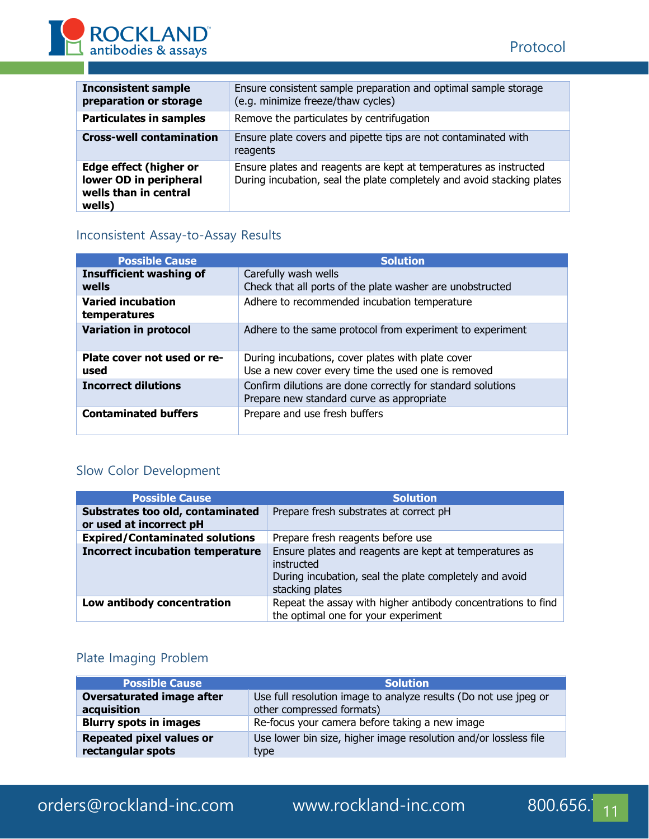

| <b>Inconsistent sample</b><br>preparation or storage                                       | Ensure consistent sample preparation and optimal sample storage<br>(e.g. minimize freeze/thaw cycles)                                       |  |
|--------------------------------------------------------------------------------------------|---------------------------------------------------------------------------------------------------------------------------------------------|--|
| <b>Particulates in samples</b>                                                             | Remove the particulates by centrifugation                                                                                                   |  |
| <b>Cross-well contamination</b>                                                            | Ensure plate covers and pipette tips are not contaminated with<br>reagents                                                                  |  |
| <b>Edge effect (higher or</b><br>lower OD in peripheral<br>wells than in central<br>wells) | Ensure plates and reagents are kept at temperatures as instructed<br>During incubation, seal the plate completely and avoid stacking plates |  |

# Inconsistent Assay-to-Assay Results

| <b>Possible Cause</b>                    | <b>Solution</b>                                                                                          |  |
|------------------------------------------|----------------------------------------------------------------------------------------------------------|--|
| <b>Insufficient washing of</b><br>wells  | Carefully wash wells<br>Check that all ports of the plate washer are unobstructed                        |  |
| <b>Varied incubation</b><br>temperatures | Adhere to recommended incubation temperature                                                             |  |
| <b>Variation in protocol</b>             | Adhere to the same protocol from experiment to experiment                                                |  |
| Plate cover not used or re-<br>used      | During incubations, cover plates with plate cover<br>Use a new cover every time the used one is removed  |  |
| <b>Incorrect dilutions</b>               | Confirm dilutions are done correctly for standard solutions<br>Prepare new standard curve as appropriate |  |
| <b>Contaminated buffers</b>              | Prepare and use fresh buffers                                                                            |  |

# Slow Color Development

| <b>Possible Cause</b>                                       | <b>Solution</b>                                                                                                                                   |  |
|-------------------------------------------------------------|---------------------------------------------------------------------------------------------------------------------------------------------------|--|
| Substrates too old, contaminated<br>or used at incorrect pH | Prepare fresh substrates at correct pH                                                                                                            |  |
| <b>Expired/Contaminated solutions</b>                       | Prepare fresh reagents before use                                                                                                                 |  |
| <b>Incorrect incubation temperature</b>                     | Ensure plates and reagents are kept at temperatures as<br>instructed<br>During incubation, seal the plate completely and avoid<br>stacking plates |  |
| Low antibody concentration                                  | Repeat the assay with higher antibody concentrations to find<br>the optimal one for your experiment                                               |  |

# Plate Imaging Problem

| <b>Possible Cause</b>           | <b>Solution</b>                                                  |  |  |
|---------------------------------|------------------------------------------------------------------|--|--|
| Oversaturated image after       | Use full resolution image to analyze results (Do not use jpeg or |  |  |
| acquisition                     | other compressed formats)                                        |  |  |
| <b>Blurry spots in images</b>   | Re-focus your camera before taking a new image                   |  |  |
| <b>Repeated pixel values or</b> | Use lower bin size, higher image resolution and/or lossless file |  |  |
| rectangular spots               | type                                                             |  |  |

# orders@rockland-inc.com www.rockland-inc.com 800.656.<sup>7</sup><sub>11</sub>